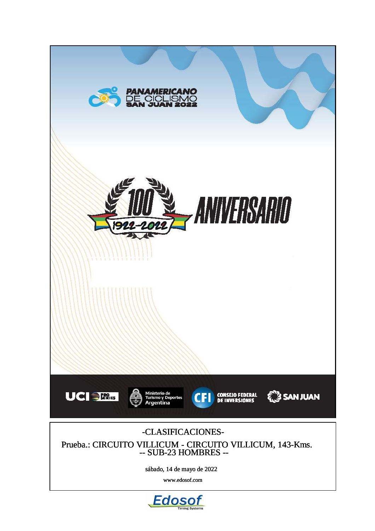